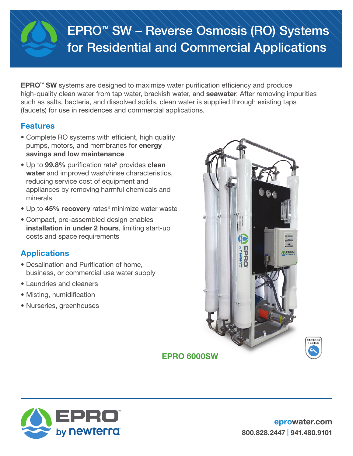# EPRO™ SW – Reverse Osmosis (RO) Systems for Residential and Commercial Applications

**EPRO™ SW** systems are designed to maximize water purification efficiency and produce high-quality clean water from tap water, brackish water, and **seawater**. After removing impurities such as salts, bacteria, and dissolved solids, clean water is supplied through existing taps (faucets) for use in residences and commercial applications.

### Features

- Complete RO systems with efficient, high quality pumps, motors, and membranes for **energy** savings and low maintenance
- Up to 99.8% purification rate<sup>2</sup> provides clean water and improved wash/rinse characteristics, reducing service cost of equipment and appliances by removing harmful chemicals and minerals
- Up to 45% recovery rates<sup>3</sup> minimize water waste
- Compact, pre-assembled design enables installation in under 2 hours, limiting start-up costs and space requirements

# **Applications**

- Desalination and Purification of home, business, or commercial use water supply
- Laundries and cleaners
- Misting, humidification
- Nurseries, greenhouses



# EPRO 6000SW



**ACTORY**<br>TESTED